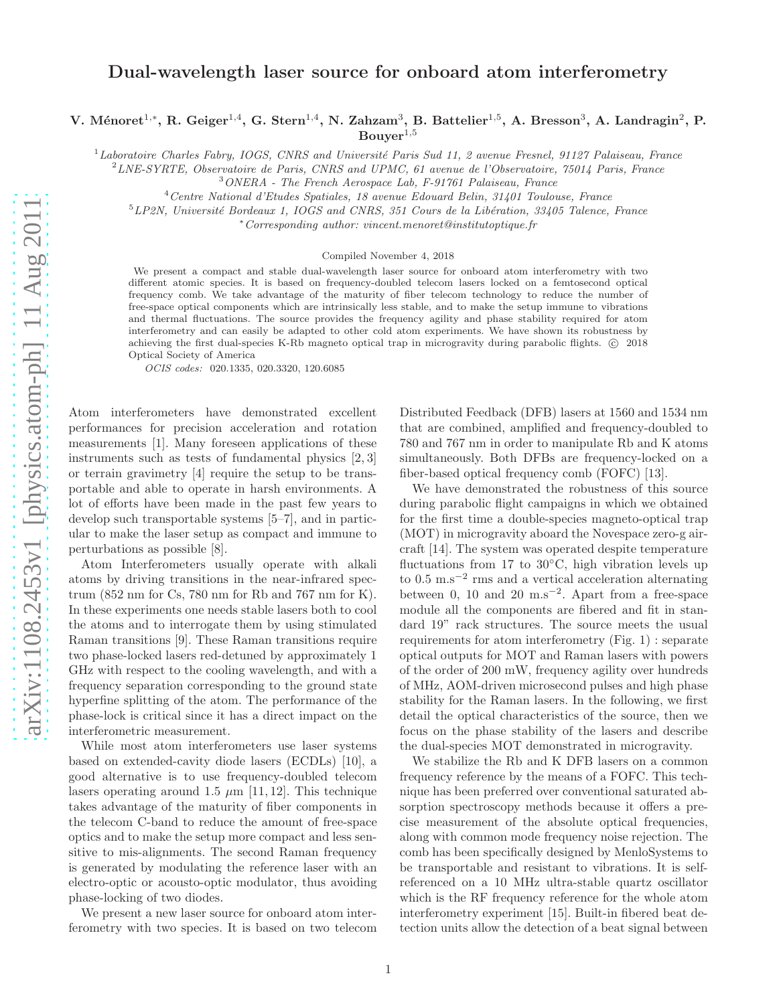# Dual-wavelength laser source for onboard atom interferometry

V. Ménoret<sup>1,\*</sup>, R. Geiger<sup>1,4</sup>, G. Stern<sup>1,4</sup>, N. Zahzam<sup>3</sup>, B. Battelier<sup>1,5</sup>, A. Bresson<sup>3</sup>, A. Landragin<sup>2</sup>, P.  $Bouver<sup>1,5</sup>$ 

<sup>1</sup>Laboratoire Charles Fabry, IOGS, CNRS and Université Paris Sud 11, 2 avenue Fresnel, 91127 Palaiseau, France

<sup>2</sup>*LNE-SYRTE, Observatoire de Paris, CNRS and UPMC, 61 avenue de l'Observatoire, 75014 Paris, France*

<sup>4</sup>*Centre National d'Etudes Spatiales, 18 avenue Edouard Belin, 31401 Toulouse, France*

<sup>5</sup>LP2N, Université Bordeaux 1, IOGS and CNRS, 351 Cours de la Libération, 33405 Talence, France

<sup>∗</sup>*Corresponding author: vincent.menoret@institutoptique.fr*

#### Compiled November 4, 2018

We present a compact and stable dual-wavelength laser source for onboard atom interferometry with two different atomic species. It is based on frequency-doubled telecom lasers locked on a femtosecond optical frequency comb. We take advantage of the maturity of fiber telecom technology to reduce the number of free-space optical components which are intrinsically less stable, and to make the setup immune to vibrations and thermal fluctuations. The source provides the frequency agility and phase stability required for atom interferometry and can easily be adapted to other cold atom experiments. We have shown its robustness by achieving the first dual-species K-Rb magneto optical trap in microgravity during parabolic flights. (C) 2018 Optical Society of America

OCIS codes: 020.1335, 020.3320, 120.6085

Atom interferometers have demonstrated excellent performances for precision acceleration and rotation measurements [1]. Many foreseen applications of these instruments such as tests of fundamental physics [2, 3] or terrain gravimetry [4] require the setup to be transportable and able to operate in harsh environments. A lot of efforts have been made in the past few years to develop such transportable systems [5–7], and in particular to make the laser setup as compact and immune to perturbations as possible [8].

Atom Interferometers usually operate with alkali atoms by driving transitions in the near-infrared spectrum (852 nm for Cs, 780 nm for Rb and 767 nm for K). In these experiments one needs stable lasers both to cool the atoms and to interrogate them by using stimulated Raman transitions [9]. These Raman transitions require two phase-locked lasers red-detuned by approximately 1 GHz with respect to the cooling wavelength, and with a frequency separation corresponding to the ground state hyperfine splitting of the atom. The performance of the phase-lock is critical since it has a direct impact on the interferometric measurement.

While most atom interferometers use laser systems based on extended-cavity diode lasers (ECDLs) [10], a good alternative is to use frequency-doubled telecom lasers operating around 1.5  $\mu$ m [11, 12]. This technique takes advantage of the maturity of fiber components in the telecom C-band to reduce the amount of free-space optics and to make the setup more compact and less sensitive to mis-alignments. The second Raman frequency is generated by modulating the reference laser with an electro-optic or acousto-optic modulator, thus avoiding phase-locking of two diodes.

We present a new laser source for onboard atom interferometry with two species. It is based on two telecom Distributed Feedback (DFB) lasers at 1560 and 1534 nm that are combined, amplified and frequency-doubled to 780 and 767 nm in order to manipulate Rb and K atoms simultaneously. Both DFBs are frequency-locked on a fiber-based optical frequency comb (FOFC) [13].

We have demonstrated the robustness of this source during parabolic flight campaigns in which we obtained for the first time a double-species magneto-optical trap (MOT) in microgravity aboard the Novespace zero-g aircraft [14]. The system was operated despite temperature fluctuations from 17 to 30<sup>°</sup>C, high vibration levels up to 0.5 m.s<sup>−</sup><sup>2</sup> rms and a vertical acceleration alternating between 0, 10 and 20 m.s<sup>-2</sup>. Apart from a free-space module all the components are fibered and fit in standard 19" rack structures. The source meets the usual requirements for atom interferometry (Fig. 1) : separate optical outputs for MOT and Raman lasers with powers of the order of 200 mW, frequency agility over hundreds of MHz, AOM-driven microsecond pulses and high phase stability for the Raman lasers. In the following, we first detail the optical characteristics of the source, then we focus on the phase stability of the lasers and describe the dual-species MOT demonstrated in microgravity.

We stabilize the Rb and K DFB lasers on a common frequency reference by the means of a FOFC. This technique has been preferred over conventional saturated absorption spectroscopy methods because it offers a precise measurement of the absolute optical frequencies, along with common mode frequency noise rejection. The comb has been specifically designed by MenloSystems to be transportable and resistant to vibrations. It is selfreferenced on a 10 MHz ultra-stable quartz oscillator which is the RF frequency reference for the whole atom interferometry experiment [15]. Built-in fibered beat detection units allow the detection of a beat signal between

<sup>3</sup>*ONERA - The French Aerospace Lab, F-91761 Palaiseau, France*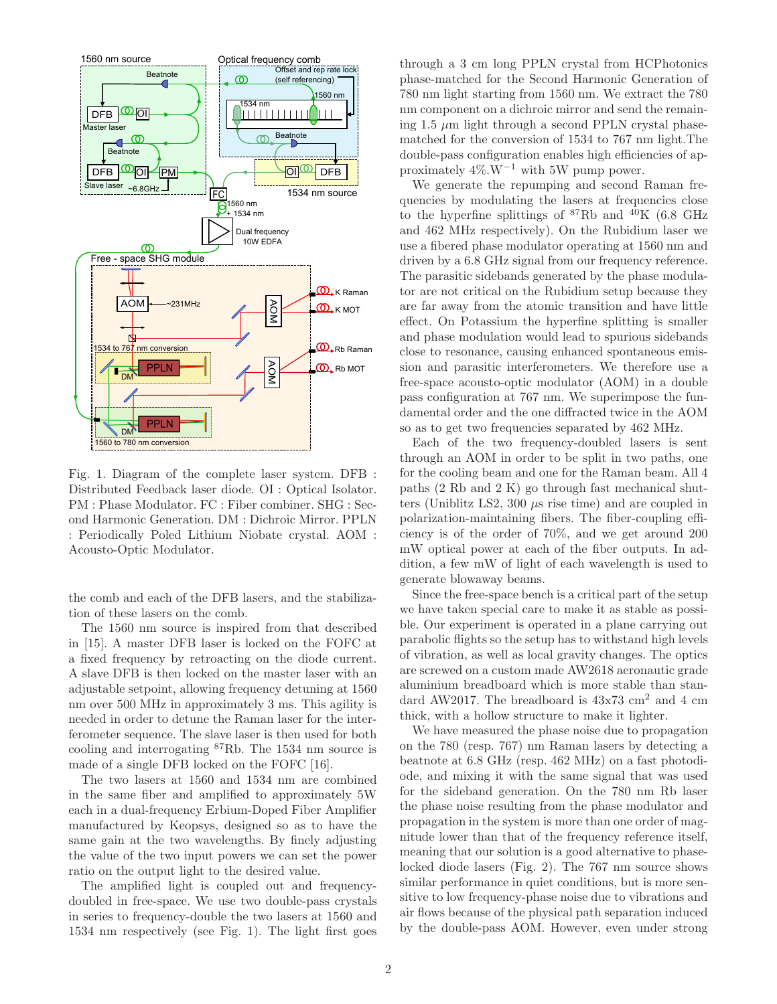

Fig. 1. Diagram of the complete laser system. DFB : Distributed Feedback laser diode. OI : Optical Isolator. PM : Phase Modulator. FC : Fiber combiner. SHG : Second Harmonic Generation. DM : Dichroic Mirror. PPLN : Periodically Poled Lithium Niobate crystal. AOM : Acousto-Optic Modulator.

the comb and each of the DFB lasers, and the stabilization of these lasers on the comb.

The 1560 nm source is inspired from that described in [15]. A master DFB laser is locked on the FOFC at a fixed frequency by retroacting on the diode current. A slave DFB is then locked on the master laser with an adjustable setpoint, allowing frequency detuning at 1560 nm over 500 MHz in approximately 3 ms. This agility is needed in order to detune the Raman laser for the interferometer sequence. The slave laser is then used for both cooling and interrogating <sup>87</sup>Rb. The 1534 nm source is made of a single DFB locked on the FOFC [16].

The two lasers at 1560 and 1534 nm are combined in the same fiber and amplified to approximately 5W each in a dual-frequency Erbium-Doped Fiber Amplifier manufactured by Keopsys, designed so as to have the same gain at the two wavelengths. By finely adjusting the value of the two input powers we can set the power ratio on the output light to the desired value.

The amplified light is coupled out and frequencydoubled in free-space. We use two double-pass crystals in series to frequency-double the two lasers at 1560 and 1534 nm respectively (see Fig. 1). The light first goes through a 3 cm long PPLN crystal from HCPhotonics phase-matched for the Second Harmonic Generation of 780 nm light starting from 1560 nm. We extract the 780 nm component on a dichroic mirror and send the remaining 1.5  $\mu$ m light through a second PPLN crystal phasematched for the conversion of 1534 to 767 nm light.The double-pass configuration enables high efficiencies of approximately  $4\%$ .W<sup>-1</sup> with 5W pump power.

We generate the repumping and second Raman frequencies by modulating the lasers at frequencies close to the hyperfine splittings of  ${}^{87}$ Rb and  ${}^{40}$ K (6.8 GHz and 462 MHz respectively). On the Rubidium laser we use a fibered phase modulator operating at 1560 nm and driven by a 6.8 GHz signal from our frequency reference. The parasitic sidebands generated by the phase modulator are not critical on the Rubidium setup because they are far away from the atomic transition and have little effect. On Potassium the hyperfine splitting is smaller and phase modulation would lead to spurious sidebands close to resonance, causing enhanced spontaneous emission and parasitic interferometers. We therefore use a free-space acousto-optic modulator (AOM) in a double pass configuration at 767 nm. We superimpose the fundamental order and the one diffracted twice in the AOM so as to get two frequencies separated by 462 MHz.

Each of the two frequency-doubled lasers is sent through an AOM in order to be split in two paths, one for the cooling beam and one for the Raman beam. All 4 paths (2 Rb and 2 K) go through fast mechanical shutters (Uniblitz LS2,  $300 \mu s$  rise time) and are coupled in polarization-maintaining fibers. The fiber-coupling efficiency is of the order of 70%, and we get around 200 mW optical power at each of the fiber outputs. In addition, a few mW of light of each wavelength is used to generate blowaway beams.

Since the free-space bench is a critical part of the setup we have taken special care to make it as stable as possible. Our experiment is operated in a plane carrying out parabolic flights so the setup has to withstand high levels of vibration, as well as local gravity changes. The optics are screwed on a custom made AW2618 aeronautic grade aluminium breadboard which is more stable than standard AW2017. The breadboard is  $43x73$  cm<sup>2</sup> and 4 cm thick, with a hollow structure to make it lighter.

We have measured the phase noise due to propagation on the 780 (resp. 767) nm Raman lasers by detecting a beatnote at 6.8 GHz (resp. 462 MHz) on a fast photodiode, and mixing it with the same signal that was used for the sideband generation. On the 780 nm Rb laser the phase noise resulting from the phase modulator and propagation in the system is more than one order of magnitude lower than that of the frequency reference itself, meaning that our solution is a good alternative to phaselocked diode lasers (Fig. 2). The 767 nm source shows similar performance in quiet conditions, but is more sensitive to low frequency-phase noise due to vibrations and air flows because of the physical path separation induced by the double-pass AOM. However, even under strong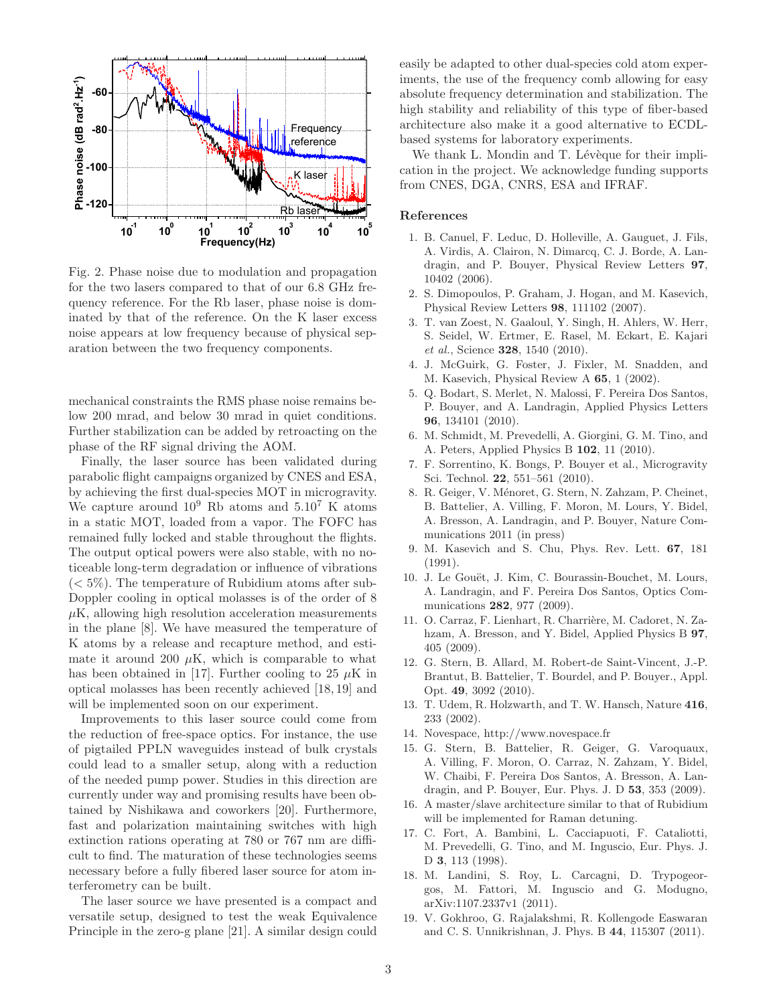

Fig. 2. Phase noise due to modulation and propagation for the two lasers compared to that of our 6.8 GHz frequency reference. For the Rb laser, phase noise is dominated by that of the reference. On the K laser excess noise appears at low frequency because of physical separation between the two frequency components.

mechanical constraints the RMS phase noise remains below 200 mrad, and below 30 mrad in quiet conditions. Further stabilization can be added by retroacting on the phase of the RF signal driving the AOM.

Finally, the laser source has been validated during parabolic flight campaigns organized by CNES and ESA, by achieving the first dual-species MOT in microgravity. We capture around  $10^9$  Rb atoms and  $5.10^7$  K atoms in a static MOT, loaded from a vapor. The FOFC has remained fully locked and stable throughout the flights. The output optical powers were also stable, with no noticeable long-term degradation or influence of vibrations  $(< 5\%)$ . The temperature of Rubidium atoms after sub-Doppler cooling in optical molasses is of the order of 8  $\mu$ K, allowing high resolution acceleration measurements in the plane [8]. We have measured the temperature of K atoms by a release and recapture method, and estimate it around 200  $\mu$ K, which is comparable to what has been obtained in [17]. Further cooling to 25  $\mu$ K in optical molasses has been recently achieved [18, 19] and will be implemented soon on our experiment.

Improvements to this laser source could come from the reduction of free-space optics. For instance, the use of pigtailed PPLN waveguides instead of bulk crystals could lead to a smaller setup, along with a reduction of the needed pump power. Studies in this direction are currently under way and promising results have been obtained by Nishikawa and coworkers [20]. Furthermore, fast and polarization maintaining switches with high extinction rations operating at 780 or 767 nm are difficult to find. The maturation of these technologies seems necessary before a fully fibered laser source for atom interferometry can be built.

The laser source we have presented is a compact and versatile setup, designed to test the weak Equivalence Principle in the zero-g plane [21]. A similar design could easily be adapted to other dual-species cold atom experiments, the use of the frequency comb allowing for easy absolute frequency determination and stabilization. The high stability and reliability of this type of fiber-based architecture also make it a good alternative to ECDLbased systems for laboratory experiments.

We thank L. Mondin and T. Lévèque for their implication in the project. We acknowledge funding supports from CNES, DGA, CNRS, ESA and IFRAF.

### References

- 1. B. Canuel, F. Leduc, D. Holleville, A. Gauguet, J. Fils, A. Virdis, A. Clairon, N. Dimarcq, C. J. Borde, A. Landragin, and P. Bouyer, Physical Review Letters 97, 10402 (2006).
- 2. S. Dimopoulos, P. Graham, J. Hogan, and M. Kasevich, Physical Review Letters 98, 111102 (2007).
- 3. T. van Zoest, N. Gaaloul, Y. Singh, H. Ahlers, W. Herr, S. Seidel, W. Ertmer, E. Rasel, M. Eckart, E. Kajari *et al.*, Science 328, 1540 (2010).
- 4. J. McGuirk, G. Foster, J. Fixler, M. Snadden, and M. Kasevich, Physical Review A 65, 1 (2002).
- 5. Q. Bodart, S. Merlet, N. Malossi, F. Pereira Dos Santos, P. Bouyer, and A. Landragin, Applied Physics Letters 96, 134101 (2010).
- 6. M. Schmidt, M. Prevedelli, A. Giorgini, G. M. Tino, and A. Peters, Applied Physics B 102, 11 (2010).
- 7. F. Sorrentino, K. Bongs, P. Bouyer et al., Microgravity Sci. Technol. 22, 551–561 (2010).
- 8. R. Geiger, V. Ménoret, G. Stern, N. Zahzam, P. Cheinet, B. Battelier, A. Villing, F. Moron, M. Lours, Y. Bidel, A. Bresson, A. Landragin, and P. Bouyer, Nature Communications 2011 (in press)
- 9. M. Kasevich and S. Chu, Phys. Rev. Lett. 67, 181 (1991).
- 10. J. Le Gouët, J. Kim, C. Bourassin-Bouchet, M. Lours, A. Landragin, and F. Pereira Dos Santos, Optics Communications 282, 977 (2009).
- 11. O. Carraz, F. Lienhart, R. Charrière, M. Cadoret, N. Zahzam, A. Bresson, and Y. Bidel, Applied Physics B 97, 405 (2009).
- 12. G. Stern, B. Allard, M. Robert-de Saint-Vincent, J.-P. Brantut, B. Battelier, T. Bourdel, and P. Bouyer., Appl. Opt. 49, 3092 (2010).
- 13. T. Udem, R. Holzwarth, and T. W. Hansch, Nature 416, 233 (2002).
- 14. Novespace, http://www.novespace.fr
- 15. G. Stern, B. Battelier, R. Geiger, G. Varoquaux, A. Villing, F. Moron, O. Carraz, N. Zahzam, Y. Bidel, W. Chaibi, F. Pereira Dos Santos, A. Bresson, A. Landragin, and P. Bouyer, Eur. Phys. J. D 53, 353 (2009).
- 16. A master/slave architecture similar to that of Rubidium will be implemented for Raman detuning.
- 17. C. Fort, A. Bambini, L. Cacciapuoti, F. Cataliotti, M. Prevedelli, G. Tino, and M. Inguscio, Eur. Phys. J. D 3, 113 (1998).
- 18. M. Landini, S. Roy, L. Carcagni, D. Trypogeorgos, M. Fattori, M. Inguscio and G. Modugno, arXiv:1107.2337v1 (2011).
- 19. V. Gokhroo, G. Rajalakshmi, R. Kollengode Easwaran and C. S. Unnikrishnan, J. Phys. B 44, 115307 (2011).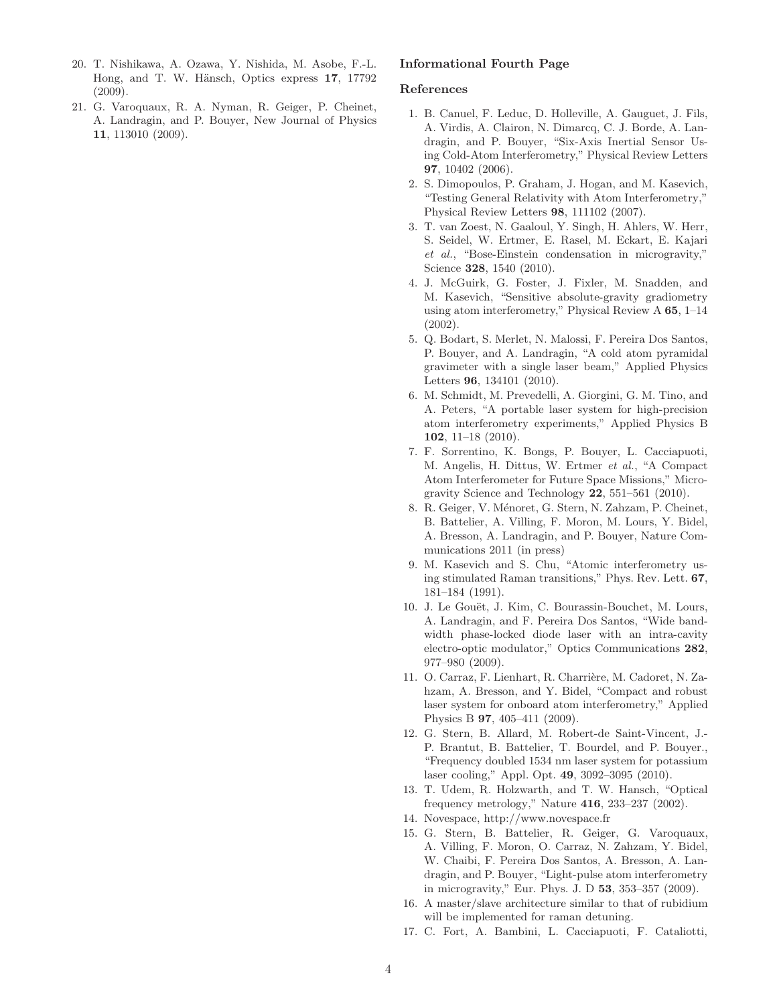- 20. T. Nishikawa, A. Ozawa, Y. Nishida, M. Asobe, F.-L. Hong, and T. W. Hänsch, Optics express 17, 17792 (2009).
- 21. G. Varoquaux, R. A. Nyman, R. Geiger, P. Cheinet, A. Landragin, and P. Bouyer, New Journal of Physics 11, 113010 (2009).

## Informational Fourth Page

#### References

- 1. B. Canuel, F. Leduc, D. Holleville, A. Gauguet, J. Fils, A. Virdis, A. Clairon, N. Dimarcq, C. J. Borde, A. Landragin, and P. Bouyer, "Six-Axis Inertial Sensor Using Cold-Atom Interferometry," Physical Review Letters 97, 10402 (2006).
- 2. S. Dimopoulos, P. Graham, J. Hogan, and M. Kasevich, "Testing General Relativity with Atom Interferometry," Physical Review Letters 98, 111102 (2007).
- 3. T. van Zoest, N. Gaaloul, Y. Singh, H. Ahlers, W. Herr, S. Seidel, W. Ertmer, E. Rasel, M. Eckart, E. Kajari *et al.*, "Bose-Einstein condensation in microgravity," Science 328, 1540 (2010).
- 4. J. McGuirk, G. Foster, J. Fixler, M. Snadden, and M. Kasevich, "Sensitive absolute-gravity gradiometry using atom interferometry," Physical Review A 65, 1–14 (2002).
- 5. Q. Bodart, S. Merlet, N. Malossi, F. Pereira Dos Santos, P. Bouyer, and A. Landragin, "A cold atom pyramidal gravimeter with a single laser beam," Applied Physics Letters 96, 134101 (2010).
- 6. M. Schmidt, M. Prevedelli, A. Giorgini, G. M. Tino, and A. Peters, "A portable laser system for high-precision atom interferometry experiments," Applied Physics B 102, 11–18 (2010).
- 7. F. Sorrentino, K. Bongs, P. Bouyer, L. Cacciapuoti, M. Angelis, H. Dittus, W. Ertmer *et al.*, "A Compact Atom Interferometer for Future Space Missions," Microgravity Science and Technology  $22$ ,  $551-561$  (2010).
- 8. R. Geiger, V. Ménoret, G. Stern, N. Zahzam, P. Cheinet, B. Battelier, A. Villing, F. Moron, M. Lours, Y. Bidel, A. Bresson, A. Landragin, and P. Bouyer, Nature Communications 2011 (in press)
- 9. M. Kasevich and S. Chu, "Atomic interferometry using stimulated Raman transitions," Phys. Rev. Lett. 67, 181–184 (1991).
- 10. J. Le Gouët, J. Kim, C. Bourassin-Bouchet, M. Lours, A. Landragin, and F. Pereira Dos Santos, "Wide bandwidth phase-locked diode laser with an intra-cavity electro-optic modulator," Optics Communications 282, 977–980 (2009).
- 11. O. Carraz, F. Lienhart, R. Charrière, M. Cadoret, N. Zahzam, A. Bresson, and Y. Bidel, "Compact and robust laser system for onboard atom interferometry," Applied Physics B 97, 405–411 (2009).
- 12. G. Stern, B. Allard, M. Robert-de Saint-Vincent, J.- P. Brantut, B. Battelier, T. Bourdel, and P. Bouyer., "Frequency doubled 1534 nm laser system for potassium laser cooling," Appl. Opt. 49, 3092–3095 (2010).
- 13. T. Udem, R. Holzwarth, and T. W. Hansch, "Optical frequency metrology," Nature 416, 233–237 (2002).
- 14. Novespace, http://www.novespace.fr
- 15. G. Stern, B. Battelier, R. Geiger, G. Varoquaux, A. Villing, F. Moron, O. Carraz, N. Zahzam, Y. Bidel, W. Chaibi, F. Pereira Dos Santos, A. Bresson, A. Landragin, and P. Bouyer, "Light-pulse atom interferometry in microgravity," Eur. Phys. J. D 53, 353–357 (2009).
- 16. A master/slave architecture similar to that of rubidium will be implemented for raman detuning.
- 17. C. Fort, A. Bambini, L. Cacciapuoti, F. Cataliotti,